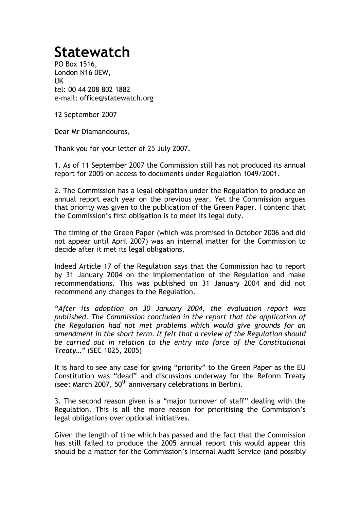## **Statewatch**

PO Box 1516, London N16 0EW, UK tel: 00 44 208 802 1882 e-mail: office@statewatch.org

12 September 2007

Dear Mr Diamandouros,

Thank you for your letter of 25 July 2007.

1. As of 11 September 2007 the Commission still has not produced its annual report for 2005 on access to documents under Regulation 1049/2001.

2. The Commission has a legal obligation under the Regulation to produce an annual report each year on the previous year. Yet the Commission argues that priority was given to the publication of the Green Paper. I contend that the Commission's first obligation is to meet its legal duty.

The timing of the Green Paper (which was promised in October 2006 and did not appear until April 2007) was an internal matter for the Commission to decide after it met its legal obligations.

Indeed Article 17 of the Regulation says that the Commission had to report by 31 January 2004 on the implementation of the Regulation and make recommendations. This was published on 31 January 2004 and did not recommend any changes to the Regulation.

*"After its adoption on 30 January 2004, the evaluation report was published. The Commission concluded in the report that the application of the Regulation had not met problems which would give grounds for an amendment in the short term. It felt that a review of the Regulation should be carried out in relation to the entry into force of the Constitutional Treaty…"* (SEC 1025, 2005)

It is hard to see any case for giving "priority" to the Green Paper as the EU Constitution was "dead" and discussions underway for the Reform Treaty (see: March 2007, 50<sup>th</sup> anniversary celebrations in Berlin).

3. The second reason given is a "major turnover of staff" dealing with the Regulation. This is all the more reason for prioritising the Commission's legal obligations over optional initiatives.

Given the length of time which has passed and the fact that the Commission has still failed to produce the 2005 annual report this would appear this should be a matter for the Commission's Internal Audit Service (and possibly